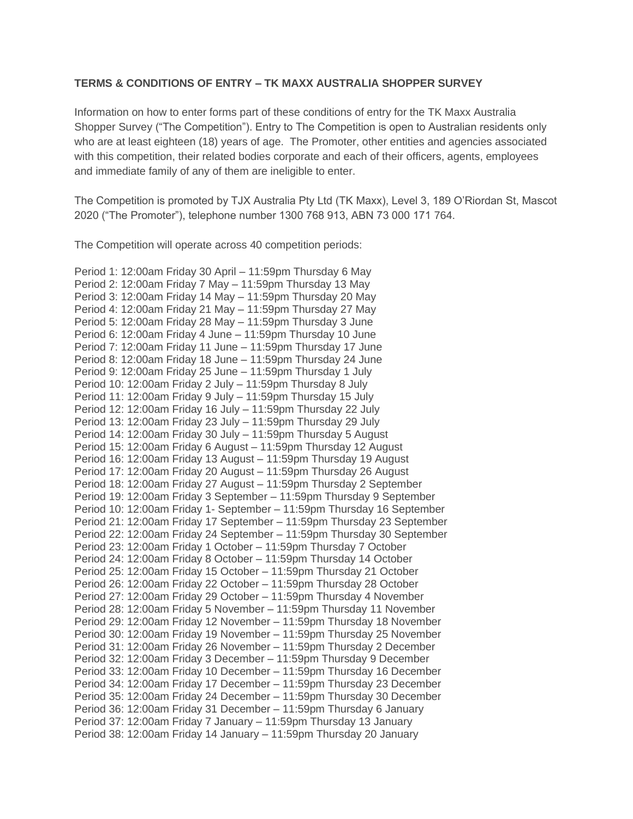## **TERMS & CONDITIONS OF ENTRY – TK MAXX AUSTRALIA SHOPPER SURVEY**

Information on how to enter forms part of these conditions of entry for the TK Maxx Australia Shopper Survey ("The Competition"). Entry to The Competition is open to Australian residents only who are at least eighteen (18) years of age. The Promoter, other entities and agencies associated with this competition, their related bodies corporate and each of their officers, agents, employees and immediate family of any of them are ineligible to enter.

The Competition is promoted by TJX Australia Pty Ltd (TK Maxx), Level 3, 189 O'Riordan St, Mascot 2020 ("The Promoter"), telephone number 1300 768 913, ABN 73 000 171 764.

The Competition will operate across 40 competition periods:

Period 1: 12:00am Friday 30 April – 11:59pm Thursday 6 May Period 2: 12:00am Friday 7 May – 11:59pm Thursday 13 May Period 3: 12:00am Friday 14 May – 11:59pm Thursday 20 May Period 4: 12:00am Friday 21 May – 11:59pm Thursday 27 May Period 5: 12:00am Friday 28 May – 11:59pm Thursday 3 June Period 6: 12:00am Friday 4 June – 11:59pm Thursday 10 June Period 7: 12:00am Friday 11 June – 11:59pm Thursday 17 June Period 8: 12:00am Friday 18 June – 11:59pm Thursday 24 June Period 9: 12:00am Friday 25 June – 11:59pm Thursday 1 July Period 10: 12:00am Friday 2 July – 11:59pm Thursday 8 July Period 11: 12:00am Friday 9 July – 11:59pm Thursday 15 July Period 12: 12:00am Friday 16 July – 11:59pm Thursday 22 July Period 13: 12:00am Friday 23 July – 11:59pm Thursday 29 July Period 14: 12:00am Friday 30 July – 11:59pm Thursday 5 August Period 15: 12:00am Friday 6 August – 11:59pm Thursday 12 August Period 16: 12:00am Friday 13 August – 11:59pm Thursday 19 August Period 17: 12:00am Friday 20 August – 11:59pm Thursday 26 August Period 18: 12:00am Friday 27 August – 11:59pm Thursday 2 September Period 19: 12:00am Friday 3 September – 11:59pm Thursday 9 September Period 10: 12:00am Friday 1- September – 11:59pm Thursday 16 September Period 21: 12:00am Friday 17 September – 11:59pm Thursday 23 September Period 22: 12:00am Friday 24 September – 11:59pm Thursday 30 September Period 23: 12:00am Friday 1 October – 11:59pm Thursday 7 October Period 24: 12:00am Friday 8 October – 11:59pm Thursday 14 October Period 25: 12:00am Friday 15 October – 11:59pm Thursday 21 October Period 26: 12:00am Friday 22 October – 11:59pm Thursday 28 October Period 27: 12:00am Friday 29 October – 11:59pm Thursday 4 November Period 28: 12:00am Friday 5 November – 11:59pm Thursday 11 November Period 29: 12:00am Friday 12 November – 11:59pm Thursday 18 November Period 30: 12:00am Friday 19 November – 11:59pm Thursday 25 November Period 31: 12:00am Friday 26 November – 11:59pm Thursday 2 December Period 32: 12:00am Friday 3 December – 11:59pm Thursday 9 December Period 33: 12:00am Friday 10 December – 11:59pm Thursday 16 December Period 34: 12:00am Friday 17 December – 11:59pm Thursday 23 December Period 35: 12:00am Friday 24 December – 11:59pm Thursday 30 December Period 36: 12:00am Friday 31 December – 11:59pm Thursday 6 January Period 37: 12:00am Friday 7 January – 11:59pm Thursday 13 January Period 38: 12:00am Friday 14 January – 11:59pm Thursday 20 January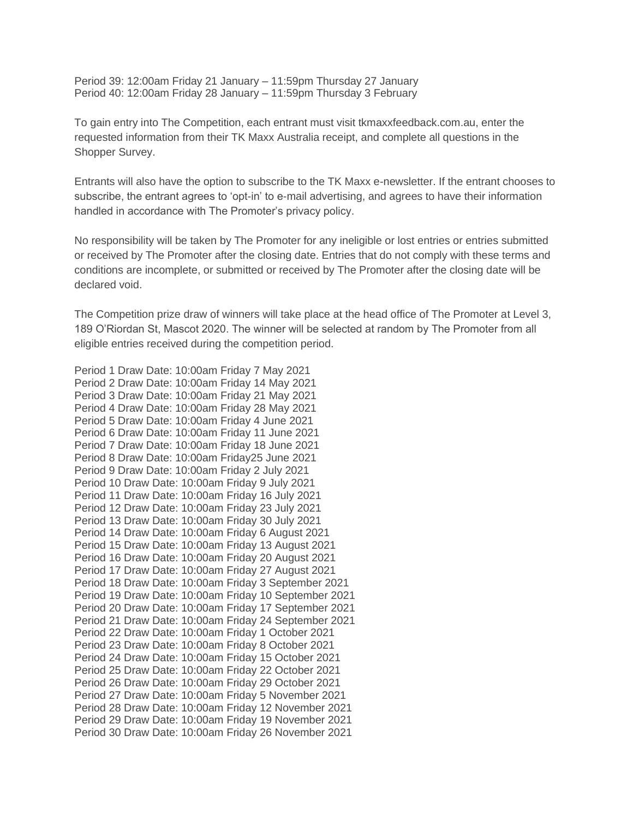Period 39: 12:00am Friday 21 January – 11:59pm Thursday 27 January Period 40: 12:00am Friday 28 January – 11:59pm Thursday 3 February

To gain entry into The Competition, each entrant must visit tkmaxxfeedback.com.au, enter the requested information from their TK Maxx Australia receipt, and complete all questions in the Shopper Survey.

Entrants will also have the option to subscribe to the TK Maxx e-newsletter. If the entrant chooses to subscribe, the entrant agrees to 'opt-in' to e-mail advertising, and agrees to have their information handled in accordance with The Promoter's privacy policy.

No responsibility will be taken by The Promoter for any ineligible or lost entries or entries submitted or received by The Promoter after the closing date. Entries that do not comply with these terms and conditions are incomplete, or submitted or received by The Promoter after the closing date will be declared void.

The Competition prize draw of winners will take place at the head office of The Promoter at Level 3, 189 O'Riordan St, Mascot 2020. The winner will be selected at random by The Promoter from all eligible entries received during the competition period.

Period 1 Draw Date: 10:00am Friday 7 May 2021 Period 2 Draw Date: 10:00am Friday 14 May 2021 Period 3 Draw Date: 10:00am Friday 21 May 2021 Period 4 Draw Date: 10:00am Friday 28 May 2021 Period 5 Draw Date: 10:00am Friday 4 June 2021 Period 6 Draw Date: 10:00am Friday 11 June 2021 Period 7 Draw Date: 10:00am Friday 18 June 2021 Period 8 Draw Date: 10:00am Friday25 June 2021 Period 9 Draw Date: 10:00am Friday 2 July 2021 Period 10 Draw Date: 10:00am Friday 9 July 2021 Period 11 Draw Date: 10:00am Friday 16 July 2021 Period 12 Draw Date: 10:00am Friday 23 July 2021 Period 13 Draw Date: 10:00am Friday 30 July 2021 Period 14 Draw Date: 10:00am Friday 6 August 2021 Period 15 Draw Date: 10:00am Friday 13 August 2021 Period 16 Draw Date: 10:00am Friday 20 August 2021 Period 17 Draw Date: 10:00am Friday 27 August 2021 Period 18 Draw Date: 10:00am Friday 3 September 2021 Period 19 Draw Date: 10:00am Friday 10 September 2021 Period 20 Draw Date: 10:00am Friday 17 September 2021 Period 21 Draw Date: 10:00am Friday 24 September 2021 Period 22 Draw Date: 10:00am Friday 1 October 2021 Period 23 Draw Date: 10:00am Friday 8 October 2021 Period 24 Draw Date: 10:00am Friday 15 October 2021 Period 25 Draw Date: 10:00am Friday 22 October 2021 Period 26 Draw Date: 10:00am Friday 29 October 2021 Period 27 Draw Date: 10:00am Friday 5 November 2021 Period 28 Draw Date: 10:00am Friday 12 November 2021 Period 29 Draw Date: 10:00am Friday 19 November 2021 Period 30 Draw Date: 10:00am Friday 26 November 2021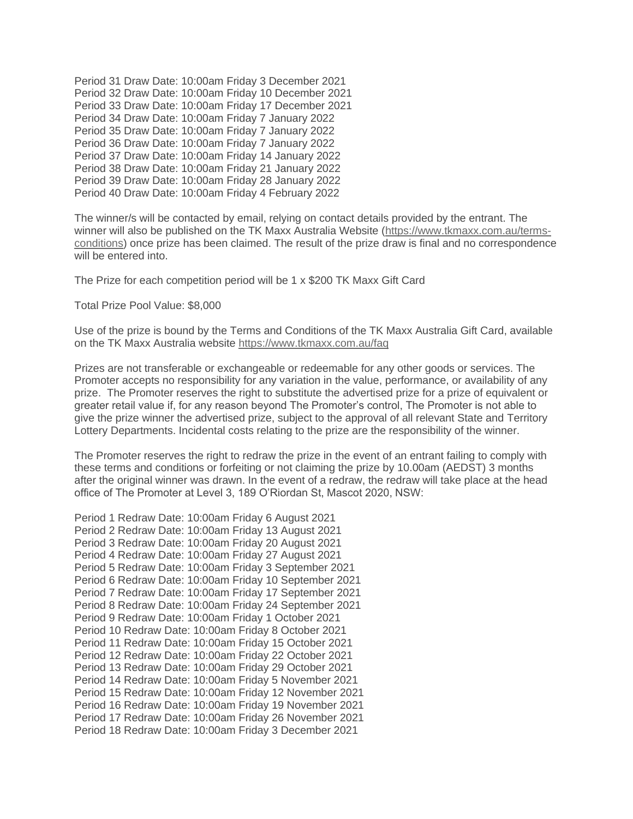Period 31 Draw Date: 10:00am Friday 3 December 2021 Period 32 Draw Date: 10:00am Friday 10 December 2021 Period 33 Draw Date: 10:00am Friday 17 December 2021 Period 34 Draw Date: 10:00am Friday 7 January 2022 Period 35 Draw Date: 10:00am Friday 7 January 2022 Period 36 Draw Date: 10:00am Friday 7 January 2022 Period 37 Draw Date: 10:00am Friday 14 January 2022 Period 38 Draw Date: 10:00am Friday 21 January 2022 Period 39 Draw Date: 10:00am Friday 28 January 2022 Period 40 Draw Date: 10:00am Friday 4 February 2022

The winner/s will be contacted by email, relying on contact details provided by the entrant. The winner will also be published on the TK Maxx Australia Website [\(https://www.tkmaxx.com.au/terms](https://www.tkmaxx.com.au/terms-conditions)[conditions\)](https://www.tkmaxx.com.au/terms-conditions) once prize has been claimed. The result of the prize draw is final and no correspondence will be entered into.

The Prize for each competition period will be 1 x \$200 TK Maxx Gift Card

Total Prize Pool Value: \$8,000

Use of the prize is bound by the Terms and Conditions of the TK Maxx Australia Gift Card, available on the TK Maxx Australia website <https://www.tkmaxx.com.au/faq>

Prizes are not transferable or exchangeable or redeemable for any other goods or services. The Promoter accepts no responsibility for any variation in the value, performance, or availability of any prize. The Promoter reserves the right to substitute the advertised prize for a prize of equivalent or greater retail value if, for any reason beyond The Promoter's control, The Promoter is not able to give the prize winner the advertised prize, subject to the approval of all relevant State and Territory Lottery Departments. Incidental costs relating to the prize are the responsibility of the winner.

The Promoter reserves the right to redraw the prize in the event of an entrant failing to comply with these terms and conditions or forfeiting or not claiming the prize by 10.00am (AEDST) 3 months after the original winner was drawn. In the event of a redraw, the redraw will take place at the head office of The Promoter at Level 3, 189 O'Riordan St, Mascot 2020, NSW:

```
Period 1 Redraw Date: 10:00am Friday 6 August 2021
Period 2 Redraw Date: 10:00am Friday 13 August 2021
Period 3 Redraw Date: 10:00am Friday 20 August 2021
Period 4 Redraw Date: 10:00am Friday 27 August 2021
Period 5 Redraw Date: 10:00am Friday 3 September 2021
Period 6 Redraw Date: 10:00am Friday 10 September 2021
Period 7 Redraw Date: 10:00am Friday 17 September 2021
Period 8 Redraw Date: 10:00am Friday 24 September 2021
Period 9 Redraw Date: 10:00am Friday 1 October 2021
Period 10 Redraw Date: 10:00am Friday 8 October 2021
Period 11 Redraw Date: 10:00am Friday 15 October 2021
Period 12 Redraw Date: 10:00am Friday 22 October 2021
Period 13 Redraw Date: 10:00am Friday 29 October 2021
Period 14 Redraw Date: 10:00am Friday 5 November 2021
Period 15 Redraw Date: 10:00am Friday 12 November 2021
Period 16 Redraw Date: 10:00am Friday 19 November 2021
Period 17 Redraw Date: 10:00am Friday 26 November 2021
Period 18 Redraw Date: 10:00am Friday 3 December 2021
```